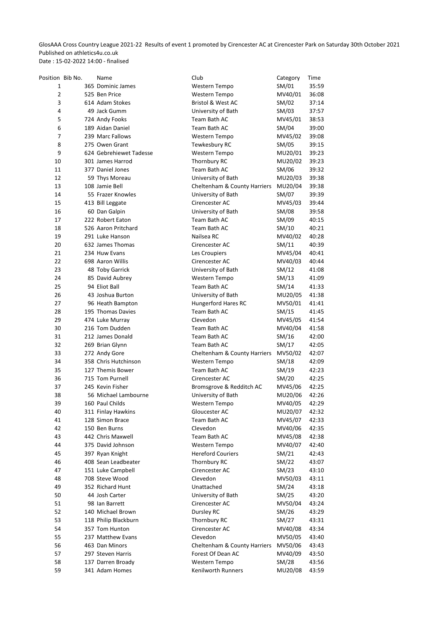GlosAAA Cross Country League 2021-22 Results of event 1 promoted by Cirencester AC at Cirencester Park on Saturday 30th October 2021 Published on athletics4u.co.uk

Date : 15-02-2022 14:00 - finalised

| Position Bib No. | Name                    | Club                                 | Category | Time  |
|------------------|-------------------------|--------------------------------------|----------|-------|
| 1                | 365 Dominic James       | Western Tempo                        | SM/01    | 35:59 |
| 2                | 525 Ben Price           | Western Tempo                        | MV40/01  | 36:08 |
| 3                | 614 Adam Stokes         | <b>Bristol &amp; West AC</b>         | SM/02    | 37:14 |
| 4                | 49 Jack Gumm            | University of Bath                   | SM/03    | 37:57 |
| 5                | 724 Andy Fooks          | Team Bath AC                         | MV45/01  | 38:53 |
| 6                | 189 Aidan Daniel        | Team Bath AC                         | SM/04    | 39:00 |
| 7                | 239 Marc Fallows        | Western Tempo                        | MV45/02  | 39:08 |
| 8                | 275 Owen Grant          | Tewkesbury RC                        | SM/05    | 39:15 |
| 9                | 624 Gebrehiewet Tadesse | Western Tempo                        | MU20/01  | 39:23 |
| 10               | 301 James Harrod        | Thornbury RC                         | MU20/02  | 39:23 |
| 11               | 377 Daniel Jones        | Team Bath AC                         | SM/06    | 39:32 |
| 12               | 59 Thys Moreau          | University of Bath                   | MU20/03  | 39:38 |
| 13               | 108 Jamie Bell          | Cheltenham & County Harriers         | MU20/04  | 39:38 |
| 14               | 55 Frazer Knowles       | University of Bath                   | SM/07    | 39:39 |
| 15               | 413 Bill Leggate        | Cirencester AC                       | MV45/03  | 39:44 |
| 16               | 60 Dan Galpin           | University of Bath                   | SM/08    | 39:58 |
| 17               | 222 Robert Eaton        | Team Bath AC                         | SM/09    | 40:15 |
| 18               | 526 Aaron Pritchard     | Team Bath AC                         | SM/10    | 40:21 |
| 19               | 291 Luke Hanson         | Nailsea RC                           | MV40/02  | 40:28 |
| 20               | 632 James Thomas        | Cirencester AC                       | SM/11    | 40:39 |
| 21               | 234 Huw Evans           | Les Croupiers                        | MV45/04  | 40:41 |
| 22               | 698 Aaron Willis        |                                      | MV40/03  | 40:44 |
| 23               |                         | Cirencester AC<br>University of Bath | SM/12    | 41:08 |
|                  | 48 Toby Garrick         |                                      |          |       |
| 24               | 85 David Aubrey         | Western Tempo                        | SM/13    | 41:09 |
| 25               | 94 Eliot Ball           | Team Bath AC                         | SM/14    | 41:33 |
| 26               | 43 Joshua Burton        | University of Bath                   | MU20/05  | 41:38 |
| 27               | 96 Heath Bampton        | <b>Hungerford Hares RC</b>           | MV50/01  | 41:41 |
| 28               | 195 Thomas Davies       | Team Bath AC                         | SM/15    | 41:45 |
| 29               | 474 Luke Murray         | Clevedon                             | MV45/05  | 41:54 |
| 30               | 216 Tom Dudden          | Team Bath AC                         | MV40/04  | 41:58 |
| 31               | 212 James Donald        | Team Bath AC                         | SM/16    | 42:00 |
| 32               | 269 Brian Glynn         | Team Bath AC                         | SM/17    | 42:05 |
| 33               | 272 Andy Gore           | Cheltenham & County Harriers         | MV50/02  | 42:07 |
| 34               | 358 Chris Hutchinson    | Western Tempo                        | SM/18    | 42:09 |
| 35               | 127 Themis Bower        | Team Bath AC                         | SM/19    | 42:23 |
| 36               | 715 Tom Purnell         | Cirencester AC                       | SM/20    | 42:25 |
| 37               | 245 Kevin Fisher        | Bromsgrove & Redditch AC             | MV45/06  | 42:25 |
| 38               | 56 Michael Lambourne    | University of Bath                   | MU20/06  | 42:26 |
| 39               | 160 Paul Childs         | Western Tempo                        | MV40/05  | 42:29 |
| 40               | 311 Finlay Hawkins      | Gloucester AC                        | MU20/07  | 42:32 |
| 41               | 128 Simon Brace         | Team Bath AC                         | MV45/07  | 42:33 |
| 42               | 150 Ben Burns           | Clevedon                             | MV40/06  | 42:35 |
| 43               | 442 Chris Maxwell       | Team Bath AC                         | MV45/08  | 42:38 |
| 44               | 375 David Johnson       | Western Tempo                        | MV40/07  | 42:40 |
| 45               | 397 Ryan Knight         | <b>Hereford Couriers</b>             | SM/21    | 42:43 |
| 46               | 408 Sean Leadbeater     | Thornbury RC                         | SM/22    | 43:07 |
| 47               | 151 Luke Campbell       | Cirencester AC                       | SM/23    | 43:10 |
| 48               | 708 Steve Wood          | Clevedon                             | MV50/03  | 43:11 |
| 49               | 352 Richard Hunt        | Unattached                           | SM/24    | 43:18 |
| 50               | 44 Josh Carter          | University of Bath                   | SM/25    | 43:20 |
| 51               | 98 Ian Barrett          | Cirencester AC                       | MV50/04  | 43:24 |
| 52               | 140 Michael Brown       | Dursley RC                           | SM/26    | 43:29 |
| 53               | 118 Philip Blackburn    | Thornbury RC                         | SM/27    | 43:31 |
| 54               | 357 Tom Hunton          | Cirencester AC                       | MV40/08  | 43:34 |
| 55               | 237 Matthew Evans       | Clevedon                             | MV50/05  | 43:40 |
| 56               | 463 Dan Minors          | Cheltenham & County Harriers         | MV50/06  | 43:43 |
| 57               | 297 Steven Harris       | Forest Of Dean AC                    | MV40/09  | 43:50 |
| 58               | 137 Darren Broady       | Western Tempo                        | SM/28    | 43:56 |
| 59               | 341 Adam Homes          | Kenilworth Runners                   | MU20/08  | 43:59 |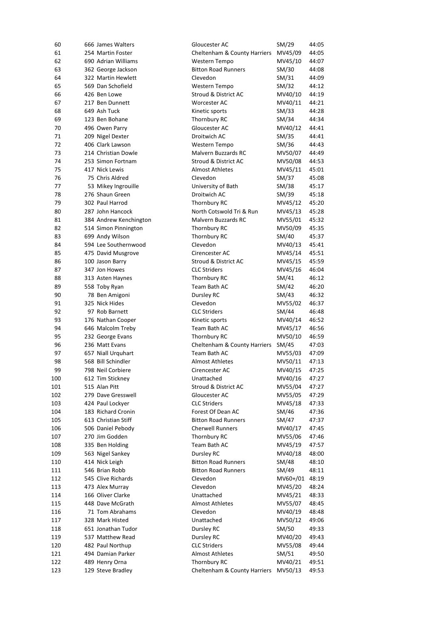| 60  | 666 James Walters      | Gloucester AC                | SM/29    | 44:05 |
|-----|------------------------|------------------------------|----------|-------|
| 61  | 254 Martin Foster      | Cheltenham & County Harriers | MV45/09  | 44:05 |
| 62  | 690 Adrian Williams    | Western Tempo                | MV45/10  | 44:07 |
| 63  | 362 George Jackson     | <b>Bitton Road Runners</b>   | SM/30    | 44:08 |
| 64  | 322 Martin Hewlett     | Clevedon                     | SM/31    | 44:09 |
| 65  | 569 Dan Schofield      | Western Tempo                | SM/32    | 44:12 |
| 66  | 426 Ben Lowe           | Stroud & District AC         | MV40/10  | 44:19 |
| 67  | 217 Ben Dunnett        | Worcester AC                 | MV40/11  | 44:21 |
| 68  | 649 Ash Tuck           | Kinetic sports               | SM/33    | 44:28 |
| 69  | 123 Ben Bohane         | Thornbury RC                 | SM/34    | 44:34 |
| 70  | 496 Owen Parry         | Gloucester AC                | MV40/12  | 44:41 |
| 71  | 209 Nigel Dexter       | Droitwich AC                 | SM/35    | 44:41 |
| 72  | 406 Clark Lawson       | Western Tempo                | SM/36    | 44:43 |
| 73  | 214 Christian Dowle    | <b>Malvern Buzzards RC</b>   | MV50/07  | 44:49 |
| 74  | 253 Simon Fortnam      | Stroud & District AC         | MV50/08  | 44:53 |
| 75  | 417 Nick Lewis         | <b>Almost Athletes</b>       | MV45/11  | 45:01 |
| 76  | 75 Chris Aldred        | Clevedon                     |          | 45:08 |
| 77  |                        |                              | SM/37    |       |
|     | 53 Mikey Ingrouille    | University of Bath           | SM/38    | 45:17 |
| 78  | 276 Shaun Green        | Droitwich AC                 | SM/39    | 45:18 |
| 79  | 302 Paul Harrod        | Thornbury RC                 | MV45/12  | 45:20 |
| 80  | 287 John Hancock       | North Cotswold Tri & Run     | MV45/13  | 45:28 |
| 81  | 384 Andrew Kenchington | <b>Malvern Buzzards RC</b>   | MV55/01  | 45:32 |
| 82  | 514 Simon Pinnington   | Thornbury RC                 | MV50/09  | 45:35 |
| 83  | 699 Andy Wilson        | Thornbury RC                 | SM/40    | 45:37 |
| 84  | 594 Lee Southernwood   | Clevedon                     | MV40/13  | 45:41 |
| 85  | 475 David Musgrove     | Cirencester AC               | MV45/14  | 45:51 |
| 86  | 100 Jason Barry        | Stroud & District AC         | MV45/15  | 45:59 |
| 87  | 347 Jon Howes          | <b>CLC Striders</b>          | MV45/16  | 46:04 |
| 88  | 313 Asten Haynes       | Thornbury RC                 | SM/41    | 46:12 |
| 89  | 558 Toby Ryan          | Team Bath AC                 | SM/42    | 46:20 |
| 90  | 78 Ben Amigoni         | Dursley RC                   | SM/43    | 46:32 |
| 91  | 325 Nick Hides         | Clevedon                     | MV55/02  | 46:37 |
| 92  | 97 Rob Barnett         | <b>CLC Striders</b>          | SM/44    | 46:48 |
| 93  | 176 Nathan Cooper      | Kinetic sports               | MV40/14  | 46:52 |
| 94  | 646 Malcolm Treby      | Team Bath AC                 | MV45/17  | 46:56 |
| 95  | 232 George Evans       | Thornbury RC                 | MV50/10  | 46:59 |
| 96  | 236 Matt Evans         | Cheltenham & County Harriers | SM/45    | 47:03 |
| 97  | 657 Niall Urquhart     | Team Bath AC                 | MV55/03  | 47:09 |
| 98  | 568 Bill Schindler     | <b>Almost Athletes</b>       | MV50/11  | 47:13 |
|     |                        |                              |          |       |
| 99  | 798 Neil Corbiere      | Cirencester AC               | MV40/15  | 47:25 |
| 100 | 612 Tim Stickney       | Unattached                   | MV40/16  | 47:27 |
| 101 | 515 Alan Pitt          | Stroud & District AC         | MV55/04  | 47:27 |
| 102 | 279 Dave Gresswell     | Gloucester AC                | MV55/05  | 47:29 |
| 103 | 424 Paul Lockyer       | <b>CLC Striders</b>          | MV45/18  | 47:33 |
| 104 | 183 Richard Cronin     | Forest Of Dean AC            | SM/46    | 47:36 |
| 105 | 613 Christian Stiff    | <b>Bitton Road Runners</b>   | SM/47    | 47:37 |
| 106 | 506 Daniel Pebody      | <b>Cherwell Runners</b>      | MV40/17  | 47:45 |
| 107 | 270 Jim Godden         | Thornbury RC                 | MV55/06  | 47:46 |
| 108 | 335 Ben Holding        | Team Bath AC                 | MV45/19  | 47:57 |
| 109 | 563 Nigel Sankey       | Dursley RC                   | MV40/18  | 48:00 |
| 110 | 414 Nick Leigh         | <b>Bitton Road Runners</b>   | SM/48    | 48:10 |
| 111 | 546 Brian Robb         | <b>Bitton Road Runners</b>   | SM/49    | 48:11 |
| 112 | 545 Clive Richards     | Clevedon                     | MV60+/01 | 48:19 |
| 113 | 473 Alex Murray        | Clevedon                     | MV45/20  | 48:24 |
| 114 | 166 Oliver Clarke      | Unattached                   | MV45/21  | 48:33 |
| 115 | 448 Dave McGrath       | <b>Almost Athletes</b>       | MV55/07  | 48:45 |
| 116 | 71 Tom Abrahams        | Clevedon                     | MV40/19  | 48:48 |
| 117 | 328 Mark Histed        | Unattached                   | MV50/12  | 49:06 |
| 118 | 651 Jonathan Tudor     | Dursley RC                   | SM/50    | 49:33 |
| 119 | 537 Matthew Read       | Dursley RC                   | MV40/20  | 49:43 |
| 120 | 482 Paul Northup       | <b>CLC Striders</b>          | MV55/08  | 49:44 |
| 121 | 494 Damian Parker      | <b>Almost Athletes</b>       | SM/51    | 49:50 |
|     |                        |                              |          |       |
| 122 | 489 Henry Orna         | Thornbury RC                 | MV40/21  | 49:51 |
| 123 | 129 Steve Bradley      | Cheltenham & County Harriers | MV50/13  | 49:53 |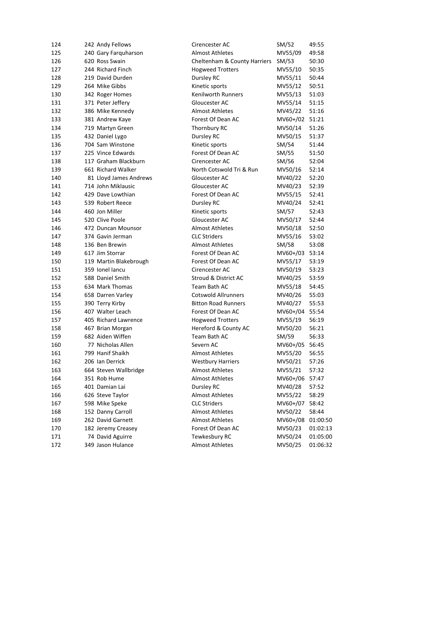| 124 | 242 Andy Fellows       | Cirencester AC               | SM/52          | 49:55    |
|-----|------------------------|------------------------------|----------------|----------|
| 125 | 240 Gary Farquharson   | Almost Athletes              | MV55/09        | 49:58    |
| 126 | 620 Ross Swain         | Cheltenham & County Harriers | SM/53          | 50:30    |
| 127 | 244 Richard Finch      | <b>Hogweed Trotters</b>      | MV55/10        | 50:35    |
| 128 | 219 David Durden       | Dursley RC                   | MV55/11        | 50:44    |
| 129 | 264 Mike Gibbs         | Kinetic sports               | MV55/12        | 50:51    |
| 130 | 342 Roger Homes        | Kenilworth Runners           | MV55/13        | 51:03    |
| 131 | 371 Peter Jeffery      | Gloucester AC                | MV55/14        | 51:15    |
| 132 | 386 Mike Kennedy       | <b>Almost Athletes</b>       | MV45/22        | 51:16    |
| 133 | 381 Andrew Kaye        | Forest Of Dean AC            | MV60+/02 51:21 |          |
| 134 | 719 Martyn Green       | Thornbury RC                 | MV50/14        | 51:26    |
| 135 | 432 Daniel Lygo        | Dursley RC                   | MV50/15        | 51:37    |
| 136 | 704 Sam Winstone       | Kinetic sports               | SM/54          | 51:44    |
| 137 | 225 Vince Edwards      | Forest Of Dean AC            | SM/55          | 51:50    |
| 138 | 117 Graham Blackburn   | Cirencester AC               | SM/56          | 52:04    |
| 139 | 661 Richard Walker     | North Cotswold Tri & Run     | MV50/16        | 52:14    |
| 140 | 81 Lloyd James Andrews | Gloucester AC                | MV40/22        | 52:20    |
| 141 | 714 John Miklausic     | Gloucester AC                | MV40/23        | 52:39    |
| 142 | 429 Dave Lowthian      | Forest Of Dean AC            | MV55/15        | 52:41    |
| 143 | 539 Robert Reece       | Dursley RC                   | MV40/24        | 52:41    |
| 144 | 460 Jon Miller         | Kinetic sports               | SM/57          | 52:43    |
| 145 | 520 Clive Poole        | Gloucester AC                | MV50/17        | 52:44    |
| 146 | 472 Duncan Mounsor     | <b>Almost Athletes</b>       | MV50/18        | 52:50    |
| 147 | 374 Gavin Jerman       | <b>CLC Striders</b>          | MV55/16        | 53:02    |
| 148 | 136 Ben Brewin         | <b>Almost Athletes</b>       | SM/58          | 53:08    |
| 149 | 617 Jim Storrar        | Forest Of Dean AC            | MV60+/03 53:14 |          |
| 150 | 119 Martin Blakebrough | Forest Of Dean AC            | MV55/17        | 53:19    |
| 151 | 359 Ionel Iancu        | Cirencester AC               | MV50/19        | 53:23    |
| 152 | 588 Daniel Smith       | Stroud & District AC         | MV40/25        | 53:59    |
| 153 | 634 Mark Thomas        | Team Bath AC                 | MV55/18        | 54:45    |
| 154 | 658 Darren Varley      | <b>Cotswold Allrunners</b>   | MV40/26        | 55:03    |
| 155 | 390 Terry Kirby        | <b>Bitton Road Runners</b>   | MV40/27        | 55:53    |
| 156 | 407 Walter Leach       | Forest Of Dean AC            | MV60+/04 55:54 |          |
| 157 | 405 Richard Lawrence   | <b>Hogweed Trotters</b>      | MV55/19        | 56:19    |
| 158 | 467 Brian Morgan       | Hereford & County AC         | MV50/20        | 56:21    |
| 159 | 682 Aiden Wiffen       | Team Bath AC                 | SM/59          | 56:33    |
| 160 | 77 Nicholas Allen      | Severn AC                    | MV60+/05 56:45 |          |
| 161 | 799 Hanif Shaikh       | <b>Almost Athletes</b>       | MV55/20        | 56:55    |
| 162 | 206 Ian Derrick        | <b>Westbury Harriers</b>     | MV50/21        | 57:26    |
| 163 | 664 Steven Wallbridge  | <b>Almost Athletes</b>       | MV55/21        | 57:32    |
| 164 | 351 Rob Hume           | <b>Almost Athletes</b>       | MV60+/06       | 57:47    |
| 165 | 401 Damian Lai         | Dursley RC                   | MV40/28        | 57:52    |
| 166 | 626 Steve Taylor       | <b>Almost Athletes</b>       | MV55/22        | 58:29    |
| 167 | 598 Mike Speke         | <b>CLC Striders</b>          | MV60+/07       | 58:42    |
| 168 | 152 Danny Carroll      | <b>Almost Athletes</b>       | MV50/22        | 58:44    |
| 169 | 262 David Garnett      | <b>Almost Athletes</b>       | MV60+/08       | 01:00:50 |
| 170 | 182 Jeremy Creasey     | Forest Of Dean AC            | MV50/23        | 01:02:13 |
| 171 | 74 David Aguirre       | Tewkesbury RC                | MV50/24        | 01:05:00 |
| 172 | 349 Jason Hulance      | <b>Almost Athletes</b>       | MV50/25        | 01:06:32 |
|     |                        |                              |                |          |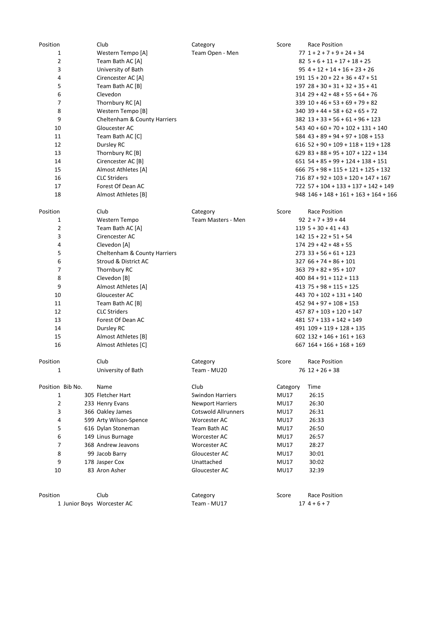| Position         | Club                         | Category                   | Score       | <b>Race Position</b>                      |
|------------------|------------------------------|----------------------------|-------------|-------------------------------------------|
| $\mathbf{1}$     | Western Tempo [A]            | Team Open - Men            |             | $77$ $1 + 2 + 7 + 9 + 24 + 34$            |
| $\overline{2}$   | Team Bath AC [A]             |                            |             | $82\,5+6+11+17+18+25$                     |
| 3                | University of Bath           |                            |             | $95$ 4 + 12 + 14 + 16 + 23 + 26           |
| 4                | Cirencester AC [A]           |                            |             | $191$ $15 + 20 + 22 + 36 + 47 + 51$       |
| 5                | Team Bath AC [B]             |                            |             | $197$ $28 + 30 + 31 + 32 + 35 + 41$       |
| 6                | Clevedon                     |                            |             | $314$ 29 + 42 + 48 + 55 + 64 + 76         |
| 7                | Thornbury RC [A]             |                            |             | $339$ $10 + 46 + 53 + 69 + 79 + 82$       |
| 8                | Western Tempo [B]            |                            |             | $340$ 39 + 44 + 58 + 62 + 65 + 72         |
| 9                | Cheltenham & County Harriers |                            |             | $382$ $13 + 33 + 56 + 61 + 96 + 123$      |
| 10               | Gloucester AC                |                            |             | $543$ 40 + 60 + 70 + 102 + 131 + 140      |
| 11               | Team Bath AC [C]             |                            |             | $584$ 43 + 89 + 94 + 97 + 108 + 153       |
| 12               | Dursley RC                   |                            |             | $616$ 52 + 90 + 109 + 118 + 119 + 128     |
| 13               | Thornbury RC [B]             |                            |             | $629$ $83 + 88 + 95 + 107 + 122 + 134$    |
| 14               | Cirencester AC [B]           |                            |             | $651$ 54 + 85 + 99 + 124 + 138 + 151      |
| 15               | Almost Athletes [A]          |                            |             | $666$ 75 + 98 + 115 + 121 + 125 + 132     |
| 16               | <b>CLC Striders</b>          |                            |             | 716 87 + 92 + 103 + 120 + 147 + 167       |
| 17               | Forest Of Dean AC            |                            |             | 722 57 + 104 + 133 + 137 + 142 + 149      |
| 18               | Almost Athletes [B]          |                            |             | $948$ $146 + 148 + 161 + 163 + 164 + 166$ |
|                  |                              |                            |             |                                           |
| Position         | Club                         | Category                   | Score       | Race Position                             |
| $\mathbf{1}$     | Western Tempo                | Team Masters - Men         |             | $92$ 2 + 7 + 39 + 44                      |
| $\overline{2}$   | Team Bath AC [A]             |                            |             | $119$ 5 + 30 + 41 + 43                    |
| 3                | Cirencester AC               |                            |             | $142$ $15 + 22 + 51 + 54$                 |
| 4                | Clevedon [A]                 |                            |             | $174$ 29 + 42 + 48 + 55                   |
| 5                | Cheltenham & County Harriers |                            |             | $273$ 33 + 56 + 61 + 123                  |
| 6                | Stroud & District AC         |                            |             | $32766 + 74 + 86 + 101$                   |
| 7                | Thornbury RC                 |                            |             | $363$ 79 + 82 + 95 + 107                  |
| 8                | Clevedon [B]                 |                            |             | $400$ $84 + 91 + 112 + 113$               |
|                  |                              |                            |             |                                           |
| 9                | Almost Athletes [A]          |                            |             | 413 75 + 98 + 115 + 125                   |
| 10               | Gloucester AC                |                            |             | 443 70 + 102 + 131 + 140                  |
| 11               | Team Bath AC [B]             |                            |             | 452 94 + 97 + 108 + 153                   |
| 12               | <b>CLC Striders</b>          |                            |             | 457 87 + 103 + 120 + 147                  |
| 13               | Forest Of Dean AC            |                            |             | 481 57 + 133 + 142 + 149                  |
| 14               | Dursley RC                   |                            |             | 491 109 + 119 + 128 + 135                 |
| 15               | Almost Athletes [B]          |                            |             | $602$ 132 + 146 + 161 + 163               |
| 16               | Almost Athletes [C]          |                            |             | $667$ $164 + 166 + 168 + 169$             |
| Position         | Club                         | Category                   | Score       | <b>Race Position</b>                      |
| $\mathbf{1}$     | University of Bath           | Team - MU20                |             | $76$ $12 + 26 + 38$                       |
|                  |                              |                            |             |                                           |
| Position Bib No. | Name                         | Club                       | Category    | Time                                      |
| $\mathbf{1}$     | 305 Fletcher Hart            | <b>Swindon Harriers</b>    | <b>MU17</b> | 26:15                                     |
| $\overline{2}$   | 233 Henry Evans              | <b>Newport Harriers</b>    | <b>MU17</b> | 26:30                                     |
| 3                | 366 Oakley James             | <b>Cotswold Allrunners</b> | MU17        | 26:31                                     |
| 4                | 599 Arty Wilson-Spence       | Worcester AC               | MU17        | 26:33                                     |
| 5                | 616 Dylan Stoneman           | Team Bath AC               | MU17        | 26:50                                     |
| 6                | 149 Linus Burnage            | Worcester AC               | <b>MU17</b> | 26:57                                     |
| 7                |                              |                            | <b>MU17</b> |                                           |
|                  | 368 Andrew Jeavons           | Worcester AC               |             | 28:27                                     |
| 8                | 99 Jacob Barry               | Gloucester AC              | MU17        | 30:01                                     |
| 9                | 178 Jasper Cox               | Unattached                 | <b>MU17</b> | 30:02                                     |
| 10               | 83 Aron Asher                | Gloucester AC              | MU17        | 32:39                                     |
|                  |                              |                            |             |                                           |
| Position         | Club                         | Category                   | Score       | <b>Race Position</b>                      |
|                  | 1 Junior Boys Worcester AC   | Team - MU17                |             | $174+6+7$                                 |
|                  |                              |                            |             |                                           |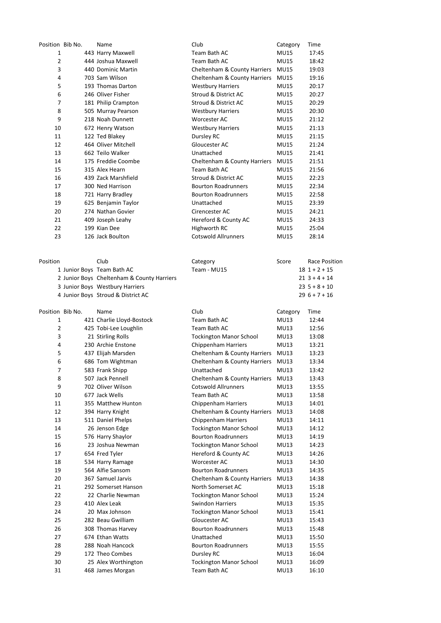| Position Bib No. | Name                                       | Club                           | Category    | Time                 |
|------------------|--------------------------------------------|--------------------------------|-------------|----------------------|
| 1                | 443 Harry Maxwell                          | Team Bath AC                   | <b>MU15</b> | 17:45                |
| 2                | 444 Joshua Maxwell                         | Team Bath AC                   | <b>MU15</b> | 18:42                |
| 3                | 440 Dominic Martin                         | Cheltenham & County Harriers   | <b>MU15</b> | 19:03                |
| 4                | 703 Sam Wilson                             | Cheltenham & County Harriers   | <b>MU15</b> | 19:16                |
| 5                | 193 Thomas Darton                          | <b>Westbury Harriers</b>       | <b>MU15</b> | 20:17                |
| 6                | 246 Oliver Fisher                          | Stroud & District AC           | <b>MU15</b> | 20:27                |
| 7                | 181 Philip Crampton                        | Stroud & District AC           | <b>MU15</b> | 20:29                |
| 8                | 505 Murray Pearson                         | <b>Westbury Harriers</b>       | <b>MU15</b> | 20:30                |
| 9                | 218 Noah Dunnett                           | Worcester AC                   | <b>MU15</b> | 21:12                |
| 10               | 672 Henry Watson                           | <b>Westbury Harriers</b>       | <b>MU15</b> | 21:13                |
| 11               | 122 Ted Blakey                             | Dursley RC                     | <b>MU15</b> | 21:15                |
| 12               | 464 Oliver Mitchell                        | Gloucester AC                  | <b>MU15</b> | 21:24                |
| 13               | 662 Teilo Walker                           | Unattached                     | <b>MU15</b> | 21:41                |
| 14               | 175 Freddie Coombe                         | Cheltenham & County Harriers   | <b>MU15</b> | 21:51                |
| 15               | 315 Alex Hearn                             | Team Bath AC                   | <b>MU15</b> | 21:56                |
| 16               | 439 Zack Marshfield                        | Stroud & District AC           | <b>MU15</b> | 22:23                |
| 17               | 300 Ned Harrison                           | <b>Bourton Roadrunners</b>     | <b>MU15</b> | 22:34                |
| 18               | 721 Harry Bradley                          | <b>Bourton Roadrunners</b>     | <b>MU15</b> | 22:58                |
| 19               | 625 Benjamin Taylor                        | Unattached                     | <b>MU15</b> | 23:39                |
| 20               | 274 Nathan Govier                          | Cirencester AC                 | MU15        | 24:21                |
| 21               | 409 Joseph Leahy                           | Hereford & County AC           | MU15        | 24:33                |
| 22               | 199 Kian Dee                               | Highworth RC                   | <b>MU15</b> | 25:04                |
| 23               | 126 Jack Boulton                           | <b>Cotswold Allrunners</b>     | <b>MU15</b> | 28:14                |
|                  |                                            |                                |             |                      |
| Position         | Club                                       |                                | Score       | <b>Race Position</b> |
|                  | 1 Junior Boys Team Bath AC                 | Category<br>Team - MU15        |             | $18$ 1 + 2 + 15      |
|                  | 2 Junior Boys Cheltenham & County Harriers |                                |             | $21$ 3 + 4 + 14      |
|                  | 3 Junior Boys Westbury Harriers            |                                |             | $235+8+10$           |
|                  | 4 Junior Boys Stroud & District AC         |                                |             | $296+7+16$           |
|                  |                                            |                                |             |                      |
| Position Bib No. | Name                                       | Club                           | Category    | Time                 |
| $\mathbf{1}$     | 421 Charlie Lloyd-Bostock                  | Team Bath AC                   | MU13        | 12:44                |
| $\overline{2}$   | 425 Tobi-Lee Loughlin                      | Team Bath AC                   | MU13        | 12:56                |
| 3                | 21 Stirling Rolls                          | <b>Tockington Manor School</b> | <b>MU13</b> | 13:08                |
| 4                | 230 Archie Enstone                         | Chippenham Harriers            | MU13        | 13:21                |
| 5                |                                            |                                |             |                      |
|                  | 437 Elijah Marsden                         | Cheltenham & County Harriers   | <b>MU13</b> | 13:23                |
| 6                | 686 Tom Wightman                           | Cheltenham & County Harriers   | <b>MU13</b> | 13:34                |
| 7                | 583 Frank Shipp                            | Unattached                     | MU13        | 13:42                |
| 8                | 507 Jack Pennell                           | Cheltenham & County Harriers   | MU13        | 13:43                |
| 9                | 702 Oliver Wilson                          | <b>Cotswold Allrunners</b>     | MU13        | 13:55                |
| 10               | 677 Jack Wells                             | Team Bath AC                   | <b>MU13</b> | 13:58                |
| 11               | 355 Matthew Hunton                         | Chippenham Harriers            | <b>MU13</b> | 14:01                |
| 12               | 394 Harry Knight                           | Cheltenham & County Harriers   | MU13        | 14:08                |
| 13               | 511 Daniel Phelps                          | Chippenham Harriers            | <b>MU13</b> | 14:11                |
| 14               | 26 Jenson Edge                             | <b>Tockington Manor School</b> | MU13        | 14:12                |
| 15               | 576 Harry Shaylor                          | <b>Bourton Roadrunners</b>     | MU13        | 14:19                |
| 16               | 23 Joshua Newman                           | <b>Tockington Manor School</b> | MU13        | 14:23                |
| 17               | 654 Fred Tyler                             | Hereford & County AC           | MU13        | 14:26                |
| 18               | 534 Harry Ramage                           | Worcester AC                   | MU13        | 14:30                |
| 19               | 564 Alfie Sansom                           | <b>Bourton Roadrunners</b>     | MU13        | 14:35                |
| 20               | 367 Samuel Jarvis                          | Cheltenham & County Harriers   | MU13        | 14:38                |
| 21               | 292 Somerset Hanson                        | North Somerset AC              | <b>MU13</b> | 15:18                |
| 22               | 22 Charlie Newman                          | <b>Tockington Manor School</b> | MU13        | 15:24                |
| 23               | 410 Alex Leak                              | <b>Swindon Harriers</b>        | <b>MU13</b> | 15:35                |
| 24               | 20 Max Johnson                             | <b>Tockington Manor School</b> | MU13        | 15:41                |
| 25               | 282 Beau Gwilliam                          | Gloucester AC                  | <b>MU13</b> | 15:43                |
| 26               | 308 Thomas Harvey                          | <b>Bourton Roadrunners</b>     | MU13        | 15:48                |
| 27               | 674 Ethan Watts                            | Unattached                     | MU13        | 15:50                |
| 28               | 288 Noah Hancock                           | <b>Bourton Roadrunners</b>     | MU13        | 15:55                |
| 29               | 172 Theo Combes                            | Dursley RC                     | <b>MU13</b> | 16:04                |
| 30               | 25 Alex Worthington                        | <b>Tockington Manor School</b> | <b>MU13</b> | 16:09                |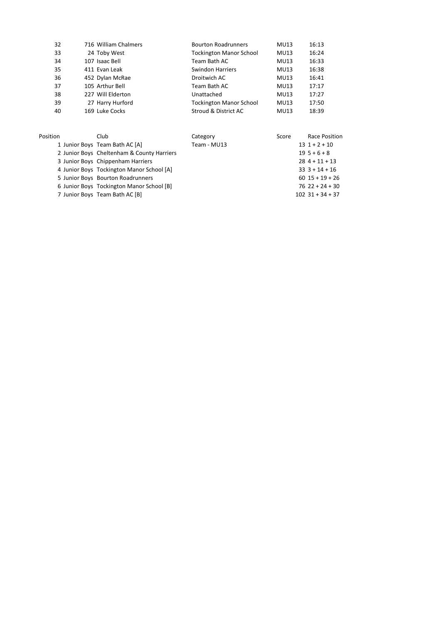| 32       | 716 William Chalmers                       | <b>Bourton Roadrunners</b>     | <b>MU13</b> | 16:13              |
|----------|--------------------------------------------|--------------------------------|-------------|--------------------|
| 33       | 24 Toby West                               | <b>Tockington Manor School</b> | MU13        | 16:24              |
| 34       | 107 Isaac Bell                             | Team Bath AC                   | MU13        | 16:33              |
| 35       | 411 Evan Leak                              | <b>Swindon Harriers</b>        | <b>MU13</b> | 16:38              |
| 36       | 452 Dylan McRae                            | Droitwich AC                   | MU13        | 16:41              |
| 37       | 105 Arthur Bell                            | Team Bath AC                   | <b>MU13</b> | 17:17              |
| 38       | 227 Will Elderton                          | Unattached                     | MU13        | 17:27              |
| 39       | 27 Harry Hurford                           | <b>Tockington Manor School</b> | MU13        | 17:50              |
| 40       | 169 Luke Cocks                             | Stroud & District AC           | MU13        | 18:39              |
| Position | Club                                       | Category                       | Score       | Race Position      |
|          | 1 Junior Boys Team Bath AC [A]             | Team - MU13                    |             | $13$ $1 + 2 + 10$  |
|          | 2 Junior Boys Cheltenham & County Harriers |                                |             | $19\,5+6+8$        |
|          | 3 Junior Boys Chippenham Harriers          |                                |             | $284 + 11 + 13$    |
|          | 4 Junior Boys Tockington Manor School [A]  |                                |             | $33$ $3 + 14 + 16$ |
|          | 5 Junior Boys Bourton Roadrunners          |                                |             | $60$ 15 + 19 + 26  |
|          | 6 Junior Boys Tockington Manor School [B]  |                                |             | $76$ 22 + 24 + 30  |

Junior Boys Team Bath AC [B] 102 31 + 34 + 37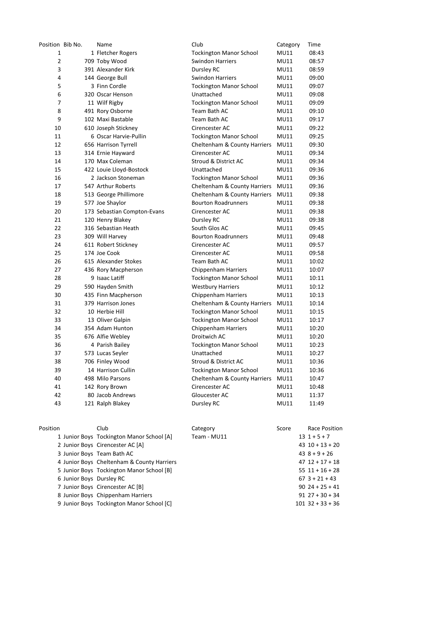| Position Bib No. |                          | Name                                       | Club                           | Category    | Time                 |
|------------------|--------------------------|--------------------------------------------|--------------------------------|-------------|----------------------|
| 1                |                          | 1 Fletcher Rogers                          | <b>Tockington Manor School</b> | <b>MU11</b> | 08:43                |
| $\overline{2}$   |                          | 709 Toby Wood                              | <b>Swindon Harriers</b>        | <b>MU11</b> | 08:57                |
| 3                |                          | 391 Alexander Kirk                         | Dursley RC                     | <b>MU11</b> | 08:59                |
| 4                |                          | 144 George Bull                            | <b>Swindon Harriers</b>        | <b>MU11</b> | 09:00                |
| 5                |                          | 3 Finn Cordle                              | <b>Tockington Manor School</b> | <b>MU11</b> | 09:07                |
| 6                |                          | 320 Oscar Henson                           | Unattached                     | <b>MU11</b> | 09:08                |
| 7                |                          | 11 Wilf Rigby                              | <b>Tockington Manor School</b> | <b>MU11</b> | 09:09                |
| 8                |                          | 491 Rory Osborne                           | Team Bath AC                   | MU11        | 09:10                |
| 9                |                          | 102 Maxi Bastable                          | Team Bath AC                   | MU11        | 09:17                |
| 10               |                          | 610 Joseph Stickney                        | Cirencester AC                 | <b>MU11</b> | 09:22                |
| 11               |                          | 6 Oscar Harvie-Pullin                      | <b>Tockington Manor School</b> | MU11        | 09:25                |
| 12               |                          | 656 Harrison Tyrrell                       | Cheltenham & County Harriers   | <b>MU11</b> | 09:30                |
| 13               |                          | 314 Ernie Hayward                          | Cirencester AC                 | <b>MU11</b> | 09:34                |
| 14               |                          | 170 Max Coleman                            | Stroud & District AC           | <b>MU11</b> | 09:34                |
| 15               |                          | 422 Louie Lloyd-Bostock                    | Unattached                     | <b>MU11</b> | 09:36                |
| 16               |                          | 2 Jackson Stoneman                         | <b>Tockington Manor School</b> | <b>MU11</b> | 09:36                |
| 17               |                          | 547 Arthur Roberts                         | Cheltenham & County Harriers   | MU11        | 09:36                |
| 18               |                          | 513 George Phillimore                      | Cheltenham & County Harriers   | MU11        | 09:38                |
| 19               |                          | 577 Joe Shaylor                            | <b>Bourton Roadrunners</b>     | MU11        | 09:38                |
| 20               |                          | 173 Sebastian Compton-Evans                | Cirencester AC                 | <b>MU11</b> | 09:38                |
| 21               |                          | 120 Henry Blakey                           | Dursley RC                     | MU11        | 09:38                |
| 22               |                          | 316 Sebastian Heath                        | South Glos AC                  | <b>MU11</b> | 09:45                |
| 23               |                          | 309 Will Harvey                            | <b>Bourton Roadrunners</b>     | <b>MU11</b> | 09:48                |
| 24               |                          | 611 Robert Stickney                        | Cirencester AC                 | <b>MU11</b> | 09:57                |
| 25               |                          | 174 Joe Cook                               | Cirencester AC                 | <b>MU11</b> | 09:58                |
| 26               |                          | 615 Alexander Stokes                       | Team Bath AC                   | MU11        | 10:02                |
| 27               |                          | 436 Rory Macpherson                        | Chippenham Harriers            | MU11        | 10:07                |
| 28               |                          | 9 Isaac Latiff                             | <b>Tockington Manor School</b> | MU11        | 10:11                |
| 29               |                          | 590 Hayden Smith                           | <b>Westbury Harriers</b>       | MU11        | 10:12                |
| 30               |                          | 435 Finn Macpherson                        | Chippenham Harriers            | MU11        | 10:13                |
| 31               |                          | 379 Harrison Jones                         | Cheltenham & County Harriers   | <b>MU11</b> | 10:14                |
| 32               |                          | 10 Herbie Hill                             | <b>Tockington Manor School</b> | <b>MU11</b> | 10:15                |
| 33               |                          | 13 Oliver Galpin                           | <b>Tockington Manor School</b> | <b>MU11</b> | 10:17                |
| 34               |                          | 354 Adam Hunton                            | <b>Chippenham Harriers</b>     | MU11        | 10:20                |
| 35               |                          | 676 Alfie Webley                           | Droitwich AC                   | <b>MU11</b> | 10:20                |
| 36               |                          | 4 Parish Bailey                            | <b>Tockington Manor School</b> | MU11        | 10:23                |
| 37               |                          | 573 Lucas Seyler                           | Unattached                     | <b>MU11</b> | 10:27                |
| 38               |                          | 706 Finley Wood                            | Stroud & District AC           | <b>MU11</b> | 10:36                |
| 39               |                          | 14 Harrison Cullin                         | <b>Tockington Manor School</b> | <b>MU11</b> | 10:36                |
| 40               |                          | 498 Milo Parsons                           | Cheltenham & County Harriers   | MU11        | 10:47                |
| 41               |                          | 142 Rory Brown                             | Cirencester AC                 | MU11        | 10:48                |
| 42               |                          | 80 Jacob Andrews                           | Gloucester AC                  | MU11        | 11:37                |
| 43               |                          | 121 Ralph Blakey                           | Dursley RC                     | MU11        | 11:49                |
|                  |                          |                                            |                                |             |                      |
| Position         |                          | Club                                       | Category                       | Score       | <b>Race Position</b> |
|                  |                          | 1 Junior Boys Tockington Manor School [A]  | Team - MU11                    |             | $131+5+7$            |
|                  |                          | 2 Junior Boys Cirencester AC [A]           |                                |             | $43$ $10 + 13 + 20$  |
|                  |                          | 3 Junior Boys Team Bath AC                 |                                |             | $438+9+26$           |
|                  |                          | 4 Junior Boys Cheltenham & County Harriers |                                |             | $47$ $12 + 17 + 18$  |
|                  |                          | 5 Junior Boys Tockington Manor School [B]  |                                |             | $55$ $11 + 16 + 28$  |
|                  | 6 Junior Boys Dursley RC |                                            |                                |             | $67$ 3 + 21 + 43     |
|                  |                          | 7 Junior Boys Cirencester AC [B]           |                                |             | $90$ 24 + 25 + 41    |
|                  |                          | 8 Junior Boys Chippenham Harriers          |                                |             | $91$ 27 + 30 + 34    |
|                  |                          | 9 Junior Boys Tockington Manor School [C]  |                                |             | $101$ 32 + 33 + 36   |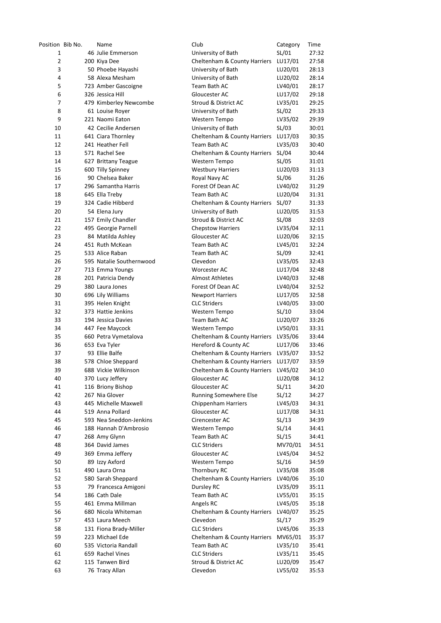| Position Bib No. |  | Name                                        | Club                                               | Category         | Time           |
|------------------|--|---------------------------------------------|----------------------------------------------------|------------------|----------------|
| 1                |  | 46 Julie Emmerson                           | University of Bath                                 | SL/01            | 27:32          |
| 2                |  | 200 Kiya Dee                                | Cheltenham & County Harriers                       | LU17/01          | 27:58          |
| 3                |  | 50 Phoebe Hayashi                           | University of Bath                                 | LU20/01          | 28:13          |
| 4                |  | 58 Alexa Mesham                             | University of Bath                                 | LU20/02          | 28:14          |
| 5                |  | 723 Amber Gascoigne                         | Team Bath AC                                       | LV40/01          | 28:17          |
| 6                |  | 326 Jessica Hill                            | Gloucester AC                                      | LU17/02          | 29:18          |
| 7                |  | 479 Kimberley Newcombe                      | Stroud & District AC                               | LV35/01          | 29:25          |
| 8                |  | 61 Louise Royer                             | University of Bath                                 | SL/02            | 29:33          |
| 9                |  | 221 Naomi Eaton                             | Western Tempo                                      | LV35/02          | 29:39          |
| 10               |  | 42 Cecilie Andersen                         | University of Bath                                 | SL/03            | 30:01          |
| 11               |  | 641 Ciara Thornley                          | Cheltenham & County Harriers                       | LU17/03          | 30:35          |
| 12               |  | 241 Heather Fell                            | Team Bath AC                                       | LV35/03          | 30:40          |
| 13               |  | 571 Rachel See                              | Cheltenham & County Harriers                       | SL/04            | 30:44          |
| 14               |  | 627 Brittany Teague                         | Western Tempo                                      | SL/05            | 31:01          |
| 15               |  | 600 Tilly Spinney                           | <b>Westbury Harriers</b>                           | LU20/03          | 31:13          |
| 16               |  | 90 Chelsea Baker                            | Royal Navy AC                                      | SL/06            | 31:26          |
| 17               |  | 296 Samantha Harris                         | Forest Of Dean AC<br>Team Bath AC                  | LV40/02          | 31:29          |
| 18<br>19         |  | 645 Ella Treby<br>324 Cadie Hibberd         |                                                    | LU20/04<br>SL/07 | 31:31<br>31:33 |
| 20               |  | 54 Elena Jury                               | Cheltenham & County Harriers<br>University of Bath | LU20/05          | 31:53          |
| 21               |  | 157 Emily Chandler                          | Stroud & District AC                               | SL/08            | 32:03          |
| 22               |  | 495 Georgie Parnell                         | <b>Chepstow Harriers</b>                           | LV35/04          | 32:11          |
| 23               |  | 84 Matilda Ashley                           | Gloucester AC                                      | LU20/06          | 32:15          |
| 24               |  | 451 Ruth McKean                             | Team Bath AC                                       | LV45/01          | 32:24          |
| 25               |  | 533 Alice Raban                             | Team Bath AC                                       | SL/09            | 32:41          |
| 26               |  | 595 Natalie Southernwood                    | Clevedon                                           | LV35/05          | 32:43          |
| 27               |  | 713 Emma Youngs                             | Worcester AC                                       | LU17/04          | 32:48          |
| 28               |  | 201 Patricia Dendy                          | <b>Almost Athletes</b>                             | LV40/03          | 32:48          |
| 29               |  | 380 Laura Jones                             | Forest Of Dean AC                                  | LV40/04          | 32:52          |
| 30               |  | 696 Lily Williams                           | <b>Newport Harriers</b>                            | LU17/05          | 32:58          |
| 31               |  | 395 Helen Knight                            | <b>CLC Striders</b>                                | LV40/05          | 33:00          |
| 32               |  | 373 Hattie Jenkins                          | Western Tempo                                      | SL/10            | 33:04          |
| 33               |  | 194 Jessica Davies                          | Team Bath AC                                       | LU20/07          | 33:26          |
| 34               |  | 447 Fee Maycock                             | Western Tempo                                      | LV50/01          | 33:31          |
| 35               |  | 660 Petra Vymetalova                        | Cheltenham & County Harriers                       | LV35/06          | 33:44          |
| 36               |  | 653 Eva Tyler                               | Hereford & County AC                               | LU17/06          | 33:46          |
| 37               |  | 93 Ellie Balfe                              | Cheltenham & County Harriers LV35/07               |                  | 33:52          |
| 38               |  | 578 Chloe Sheppard                          | Cheltenham & County Harriers LU17/07               |                  | 33:59          |
| 39               |  | 688 Vickie Wilkinson                        | Cheltenham & County Harriers LV45/02               |                  | 34:10          |
| 40               |  | 370 Lucy Jeffery                            | Gloucester AC                                      | LU20/08          | 34:12          |
| 41               |  | 116 Briony Bishop                           | Gloucester AC                                      | SL/11            | 34:20          |
| 42               |  | 267 Nia Glover                              | Running Somewhere Else                             | SL/12            | 34:27          |
| 43               |  | 445 Michelle Maxwell                        | Chippenham Harriers                                | LV45/03          | 34:31          |
| 44<br>45         |  | 519 Anna Pollard<br>593 Nea Sneddon-Jenkins | Gloucester AC<br>Cirencester AC                    | LU17/08<br>SL/13 | 34:31<br>34:39 |
| 46               |  | 188 Hannah D'Ambrosio                       | Western Tempo                                      | SL/14            | 34:41          |
| 47               |  | 268 Amy Glynn                               | Team Bath AC                                       | SL/15            | 34:41          |
| 48               |  | 364 David James                             | <b>CLC Striders</b>                                | MV70/01          | 34:51          |
| 49               |  | 369 Emma Jeffery                            | Gloucester AC                                      | LV45/04          | 34:52          |
| 50               |  | 89 Izzy Axford                              | Western Tempo                                      | SL/16            | 34:59          |
| 51               |  | 490 Laura Orna                              | Thornbury RC                                       | LV35/08          | 35:08          |
| 52               |  | 580 Sarah Sheppard                          | Cheltenham & County Harriers                       | LV40/06          | 35:10          |
| 53               |  | 79 Francesca Amigoni                        | Dursley RC                                         | LV35/09          | 35:11          |
| 54               |  | 186 Cath Dale                               | Team Bath AC                                       | LV55/01          | 35:15          |
| 55               |  | 461 Emma Millman                            | Angels RC                                          | LV45/05          | 35:18          |
| 56               |  | 680 Nicola Whiteman                         | Cheltenham & County Harriers                       | LV40/07          | 35:25          |
| 57               |  | 453 Laura Meech                             | Clevedon                                           | SL/17            | 35:29          |
| 58               |  | 131 Fiona Brady-Miller                      | <b>CLC Striders</b>                                | LV45/06          | 35:33          |
| 59               |  | 223 Michael Ede                             | Cheltenham & County Harriers                       | MV65/01          | 35:37          |
| 60               |  | 535 Victoria Randall                        | Team Bath AC                                       | LV35/10          | 35:41          |
| 61               |  | 659 Rachel Vines                            | <b>CLC Striders</b>                                | LV35/11          | 35:45          |
| 62               |  | 115 Tanwen Bird                             | Stroud & District AC                               | LU20/09          | 35:47          |
| 63               |  | 76 Tracy Allan                              | Clevedon                                           | LV55/02          | 35:53          |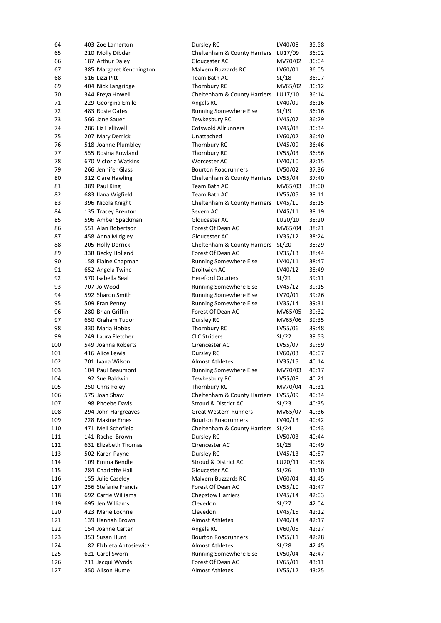| 64  | 403 Zoe Lamerton         | Dursley RC                              | LV40/08 | 35:58 |
|-----|--------------------------|-----------------------------------------|---------|-------|
| 65  | 210 Molly Dibden         | Cheltenham & County Harriers            | LU17/09 | 36:02 |
| 66  | 187 Arthur Daley         | Gloucester AC                           | MV70/02 | 36:04 |
| 67  | 385 Margaret Kenchington | <b>Malvern Buzzards RC</b>              | LV60/01 | 36:05 |
| 68  | 516 Lizzi Pitt           | Team Bath AC                            | SL/18   | 36:07 |
| 69  | 404 Nick Langridge       | Thornbury RC                            | MV65/02 | 36:12 |
| 70  | 344 Freya Howell         | Cheltenham & County Harriers            | LU17/10 | 36:14 |
| 71  | 229 Georgina Emile       | Angels RC                               | LV40/09 | 36:16 |
| 72  | 483 Rosie Oates          | Running Somewhere Else                  | SL/19   | 36:16 |
| 73  | 566 Jane Sauer           | Tewkesbury RC                           | LV45/07 | 36:29 |
| 74  | 286 Liz Halliwell        | <b>Cotswold Allrunners</b>              | LV45/08 | 36:34 |
| 75  | 207 Mary Derrick         | Unattached                              | LV60/02 | 36:40 |
| 76  | 518 Joanne Plumbley      | Thornbury RC                            | LV45/09 | 36:46 |
| 77  | 555 Rosina Rowland       | Thornbury RC                            | LV55/03 | 36:56 |
| 78  | 670 Victoria Watkins     | Worcester AC                            | LV40/10 | 37:15 |
| 79  | 266 Jennifer Glass       | <b>Bourton Roadrunners</b>              | LV50/02 | 37:36 |
| 80  | 312 Clare Hawling        | Cheltenham & County Harriers            | LV55/04 | 37:40 |
| 81  | 389 Paul King            | Team Bath AC                            | MV65/03 | 38:00 |
| 82  | 683 Ilana Wigfield       | Team Bath AC                            | LV55/05 | 38:11 |
| 83  | 396 Nicola Knight        | Cheltenham & County Harriers            | LV45/10 | 38:15 |
| 84  | 135 Tracey Brenton       | Severn AC                               | LV45/11 | 38:19 |
| 85  | 596 Amber Spackman       | Gloucester AC                           | LU20/10 | 38:20 |
| 86  | 551 Alan Robertson       | Forest Of Dean AC                       | MV65/04 | 38:21 |
| 87  | 458 Anna Midgley         | Gloucester AC                           | LV35/12 | 38:24 |
| 88  | 205 Holly Derrick        | Cheltenham & County Harriers            | SL/20   | 38:29 |
| 89  | 338 Becky Holland        | Forest Of Dean AC                       | LV35/13 | 38:44 |
| 90  | 158 Elaine Chapman       | <b>Running Somewhere Else</b>           | LV40/11 | 38:47 |
| 91  | 652 Angela Twine         | Droitwich AC                            | LV40/12 | 38:49 |
| 92  | 570 Isabella Seal        | <b>Hereford Couriers</b>                | SL/21   | 39:11 |
| 93  | 707 Jo Wood              | Running Somewhere Else                  | LV45/12 | 39:15 |
| 94  | 592 Sharon Smith         | Running Somewhere Else                  | LV70/01 | 39:26 |
| 95  | 509 Fran Penny           | <b>Running Somewhere Else</b>           | LV35/14 | 39:31 |
| 96  | 280 Brian Griffin        | Forest Of Dean AC                       | MV65/05 | 39:32 |
| 97  | 650 Graham Tudor         | Dursley RC                              | MV65/06 | 39:35 |
| 98  | 330 Maria Hobbs          | Thornbury RC                            | LV55/06 | 39:48 |
| 99  | 249 Laura Fletcher       | <b>CLC Striders</b>                     | SL/22   | 39:53 |
| 100 | 549 Joanna Roberts       | Cirencester AC                          | LV55/07 | 39:59 |
| 101 | 416 Alice Lewis          | Dursley RC                              | LV60/03 | 40:07 |
| 102 | 701 Ivana Wilson         | <b>Almost Athletes</b>                  | LV35/15 | 40:14 |
| 103 | 104 Paul Beaumont        | Running Somewhere Else                  | MV70/03 | 40:17 |
| 104 | 92 Sue Baldwin           | Tewkesbury RC                           | LV55/08 | 40:21 |
| 105 | 250 Chris Foley          | Thornbury RC                            | MV70/04 | 40:31 |
| 106 | 575 Joan Shaw            | Cheltenham & County Harriers            | LV55/09 | 40:34 |
| 107 | 198 Phoebe Davis         | Stroud & District AC                    | SL/23   | 40:35 |
| 108 | 294 John Hargreaves      | <b>Great Western Runners</b>            | MV65/07 | 40:36 |
| 109 | 228 Maxine Emes          | <b>Bourton Roadrunners</b>              | LV40/13 | 40:42 |
| 110 | 471 Mell Schofield       | <b>Cheltenham &amp; County Harriers</b> | SL/24   | 40:43 |
| 111 | 141 Rachel Brown         | Dursley RC                              | LV50/03 | 40:44 |
| 112 | 631 Elizabeth Thomas     | Cirencester AC                          | SL/25   | 40:49 |
| 113 | 502 Karen Payne          | Dursley RC                              | LV45/13 | 40:57 |
| 114 | 109 Emma Bendle          | Stroud & District AC                    | LU20/11 | 40:58 |
| 115 | 284 Charlotte Hall       | Gloucester AC                           | SL/26   | 41:10 |
| 116 | 155 Julie Caseley        | Malvern Buzzards RC                     | LV60/04 | 41:45 |
| 117 | 256 Stefanie Francis     | Forest Of Dean AC                       | LV55/10 | 41:47 |
| 118 | 692 Carrie Williams      | <b>Chepstow Harriers</b>                | LV45/14 | 42:03 |
| 119 | 695 Jen Williams         | Clevedon                                | SL/27   | 42:04 |
| 120 | 423 Marie Lochrie        | Clevedon                                | LV45/15 | 42:12 |
| 121 | 139 Hannah Brown         | <b>Almost Athletes</b>                  | LV40/14 | 42:17 |
| 122 | 154 Joanne Carter        | Angels RC                               | LV60/05 | 42:27 |
| 123 | 353 Susan Hunt           | <b>Bourton Roadrunners</b>              | LV55/11 | 42:28 |
| 124 | 82 Elzbieta Antosiewicz  | <b>Almost Athletes</b>                  | SL/28   | 42:45 |
| 125 | 621 Carol Sworn          | Running Somewhere Else                  | LV50/04 | 42:47 |
| 126 | 711 Jacqui Wynds         | Forest Of Dean AC                       | LV65/01 | 43:11 |
| 127 | 350 Alison Hume          | <b>Almost Athletes</b>                  | LV55/12 | 43:25 |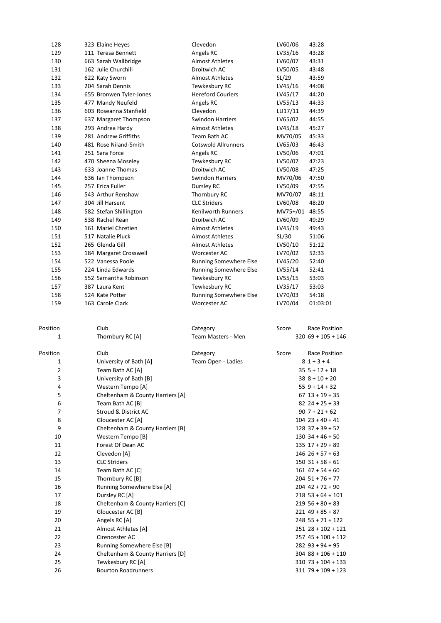| 128            | 323 Elaine Heyes                                | Clevedon                       | LV60/06        | 43:28                                                                 |
|----------------|-------------------------------------------------|--------------------------------|----------------|-----------------------------------------------------------------------|
| 129            | 111 Teresa Bennett                              | Angels RC                      | LV35/16        | 43:28                                                                 |
| 130            | 663 Sarah Wallbridge                            | <b>Almost Athletes</b>         | LV60/07        | 43:31                                                                 |
| 131            | 162 Julie Churchill                             | Droitwich AC                   | LV50/05        | 43:48                                                                 |
| 132            | 622 Katy Sworn                                  | <b>Almost Athletes</b>         | SL/29          | 43:59                                                                 |
| 133            | 204 Sarah Dennis                                | Tewkesbury RC                  | LV45/16        | 44:08                                                                 |
| 134            | 655 Bronwen Tyler-Jones                         | <b>Hereford Couriers</b>       | LV45/17        | 44:20                                                                 |
| 135            | 477 Mandy Neufeld                               | Angels RC                      | LV55/13        | 44:33                                                                 |
| 136            | 603 Roseanna Stanfield                          | Clevedon                       | LU17/11        | 44:39                                                                 |
| 137            | 637 Margaret Thompson                           | <b>Swindon Harriers</b>        | LV65/02        | 44:55                                                                 |
| 138            | 293 Andrea Hardy                                | <b>Almost Athletes</b>         | LV45/18        | 45:27                                                                 |
| 139            | 281 Andrew Griffiths                            | Team Bath AC                   | MV70/05        | 45:33                                                                 |
| 140            | 481 Rose Niland-Smith                           | <b>Cotswold Allrunners</b>     | LV65/03        | 46:43                                                                 |
| 141            | 251 Sara Force                                  | Angels RC                      | LV50/06        | 47:01                                                                 |
|                |                                                 |                                |                |                                                                       |
| 142            | 470 Sheena Moseley                              | Tewkesbury RC                  | LV50/07        | 47:23                                                                 |
| 143            | 633 Joanne Thomas                               | Droitwich AC                   | LV50/08        | 47:25                                                                 |
| 144            | 636 Ian Thompson                                | <b>Swindon Harriers</b>        | MV70/06        | 47:50                                                                 |
| 145            | 257 Erica Fuller                                | Dursley RC                     | LV50/09        | 47:55                                                                 |
| 146            | 543 Arthur Renshaw                              | Thornbury RC                   | MV70/07        | 48:11                                                                 |
| 147            | 304 Jill Harsent                                | <b>CLC Striders</b>            | LV60/08        | 48:20                                                                 |
| 148            | 582 Stefan Shillington                          | Kenilworth Runners             | MV75+/01 48:55 |                                                                       |
| 149            | 538 Rachel Rean                                 | Droitwich AC                   | LV60/09        | 49:29                                                                 |
| 150            | 161 Mariel Chretien                             | <b>Almost Athletes</b>         | LV45/19        | 49:43                                                                 |
| 151            | 517 Natalie Pluck                               | <b>Almost Athletes</b>         | SL/30          | 51:06                                                                 |
| 152            | 265 Glenda Gill                                 | <b>Almost Athletes</b>         | LV50/10        | 51:12                                                                 |
| 153            | 184 Margaret Crosswell                          | Worcester AC                   | LV70/02        | 52:33                                                                 |
| 154            | 522 Vanessa Poole                               | Running Somewhere Else         | LV45/20        | 52:40                                                                 |
| 155            | 224 Linda Edwards                               | Running Somewhere Else         | LV55/14        | 52:41                                                                 |
| 156            | 552 Samantha Robinson                           | Tewkesbury RC                  | LV55/15        | 53:03                                                                 |
| 157            | 387 Laura Kent                                  | Tewkesbury RC                  | LV35/17        | 53:03                                                                 |
| 158            | 524 Kate Potter                                 | Running Somewhere Else         | LV70/03        | 54:18                                                                 |
| 159            | 163 Carole Clark                                | Worcester AC                   | LV70/04        | 01:03:01                                                              |
|                |                                                 |                                |                |                                                                       |
| Position<br>1  | Club<br>Thornbury RC [A]                        | Category<br>Team Masters - Men | Score          | Race Position<br>$320$ 69 + 105 + 146                                 |
|                |                                                 |                                |                |                                                                       |
| Position       | Club                                            | Category                       | Score          | Race Position                                                         |
| $\mathbf{1}$   | University of Bath [A]                          | Team Open - Ladies             |                | $81+3+4$                                                              |
| $\overline{2}$ | Team Bath AC [A]                                |                                |                | $355 + 12 + 18$                                                       |
| 3              | University of Bath [B]                          |                                |                | $388 + 10 + 20$                                                       |
| 4              | Western Tempo [A]                               |                                |                | $559 + 14 + 32$                                                       |
| 5              | Cheltenham & County Harriers [A]                |                                |                | $67$ $13 + 19 + 35$                                                   |
| 6              | Team Bath AC [B]                                |                                |                | $82$ 24 + 25 + 33                                                     |
| 7              | Stroud & District AC                            |                                |                | $907 + 21 + 62$                                                       |
| 8              | Gloucester AC [A]                               |                                |                | $104$ 23 + 40 + 41                                                    |
| 9              | Cheltenham & County Harriers [B]                |                                |                | $128$ 37 + 39 + 52                                                    |
| 10             | Western Tempo [B]                               |                                |                | $130$ 34 + 46 + 50                                                    |
| 11             | Forest Of Dean AC                               |                                |                | $135$ $17 + 29 + 89$                                                  |
| 12             | Clevedon [A]                                    |                                |                | $146$ $26 + 57 + 63$                                                  |
| 13             | <b>CLC Striders</b>                             |                                |                | $150$ $31 + 58 + 61$                                                  |
| 14             |                                                 |                                |                | $161$ 47 + 54 + 60                                                    |
| 15             | Team Bath AC [C]<br>Thornbury RC [B]            |                                |                | $204$ 51 + 76 + 77                                                    |
| 16             |                                                 |                                |                | $204$ 42 + 72 + 90                                                    |
| 17             | Running Somewhere Else [A]                      |                                |                |                                                                       |
|                | Dursley RC [A]                                  |                                |                | $218$ 53 + 64 + 101                                                   |
| 18             | Cheltenham & County Harriers [C]                |                                |                | $219$ 56 + 80 + 83                                                    |
| 19             | Gloucester AC [B]                               |                                |                | $221$ 49 + 85 + 87                                                    |
| 20             | Angels RC [A]                                   |                                |                | $248$ 55 + 71 + 122                                                   |
| 21             | Almost Athletes [A]                             |                                |                | $251$ $28 + 102 + 121$                                                |
| 22             | Cirencester AC                                  |                                |                | $257$ 45 + 100 + 112                                                  |
| 23             | Running Somewhere Else [B]                      |                                |                | $282$ 93 + 94 + 95                                                    |
| 24             | Cheltenham & County Harriers [D]                |                                |                |                                                                       |
| 25<br>26       | Tewkesbury RC [A]<br><b>Bourton Roadrunners</b> |                                |                | $304$ $88 + 106 + 110$<br>$310$ 73 + 104 + 133<br>$31179 + 109 + 123$ |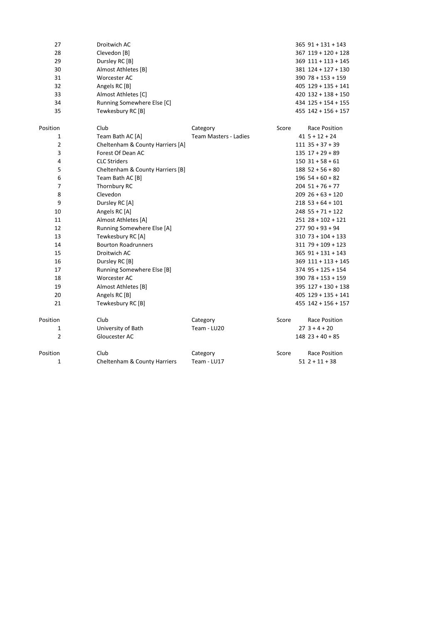| 27             | Droitwich AC                     |                              |       | $365$ $91 + 131 + 143$  |
|----------------|----------------------------------|------------------------------|-------|-------------------------|
| 28             | Clevedon [B]                     |                              |       | $367$ $119 + 120 + 128$ |
| 29             | Dursley RC [B]                   |                              |       | $369$ $111 + 113 + 145$ |
| 30             | Almost Athletes [B]              |                              |       | 381 124 + 127 + 130     |
| 31             | Worcester AC                     |                              |       | $390$ 78 + 153 + 159    |
| 32             | Angels RC [B]                    |                              |       | $405$ 129 + 135 + 141   |
| 33             | Almost Athletes [C]              |                              |       | $420$ $132 + 138 + 150$ |
| 34             | Running Somewhere Else [C]       |                              |       | $434$ $125 + 154 + 155$ |
| 35             | Tewkesbury RC [B]                |                              |       | $455$ $142 + 156 + 157$ |
| Position       | Club                             | Category                     | Score | Race Position           |
| $\mathbf{1}$   | Team Bath AC [A]                 | <b>Team Masters - Ladies</b> |       | $415 + 12 + 24$         |
| $\overline{2}$ | Cheltenham & County Harriers [A] |                              |       | $111$ $35 + 37 + 39$    |
| 3              | Forest Of Dean AC                |                              |       | $135$ $17 + 29 + 89$    |
| 4              | <b>CLC Striders</b>              |                              |       | $150$ 31 + 58 + 61      |
| 5              | Cheltenham & County Harriers [B] |                              |       | $188$ 52 + 56 + 80      |
| 6              | Team Bath AC [B]                 |                              |       | $196$ 54 + 60 + 82      |
| 7              | Thornbury RC                     |                              |       | $204$ 51 + 76 + 77      |
| 8              | Clevedon                         |                              |       | $209$ 26 + 63 + 120     |
| 9              | Dursley RC [A]                   |                              |       | $218$ 53 + 64 + 101     |
| 10             | Angels RC [A]                    |                              |       | $248$ 55 + 71 + 122     |
| 11             | Almost Athletes [A]              |                              |       | $251$ $28 + 102 + 121$  |
| 12             | Running Somewhere Else [A]       |                              |       | $277$ 90 + 93 + 94      |
| 13             | Tewkesbury RC [A]                |                              |       | $310$ 73 + 104 + 133    |
| 14             | <b>Bourton Roadrunners</b>       |                              |       | $311$ 79 + 109 + 123    |
| 15             | Droitwich AC                     |                              |       | $365$ 91 + 131 + 143    |
| 16             | Dursley RC [B]                   |                              |       | $369$ $111 + 113 + 145$ |
| 17             | Running Somewhere Else [B]       |                              |       | $374$ 95 + 125 + 154    |
| 18             | Worcester AC                     |                              |       | $390$ 78 + 153 + 159    |
| 19             | Almost Athletes [B]              |                              |       | 395 127 + 130 + 138     |
| 20             | Angels RC [B]                    |                              |       | $405$ 129 + 135 + 141   |
| 21             | Tewkesbury RC [B]                |                              |       | $455$ $142 + 156 + 157$ |
| Position       | Club                             | Category                     | Score | Race Position           |
| $\mathbf{1}$   | University of Bath               | Team - LU20                  |       | $27$ 3 + 4 + 20         |
| $\overline{2}$ | Gloucester AC                    |                              |       | $148$ 23 + 40 + 85      |
| Position       | Club                             | Category                     | Score | Race Position           |
| $\mathbf{1}$   | Cheltenham & County Harriers     | Team - LU17                  |       | $512 + 11 + 38$         |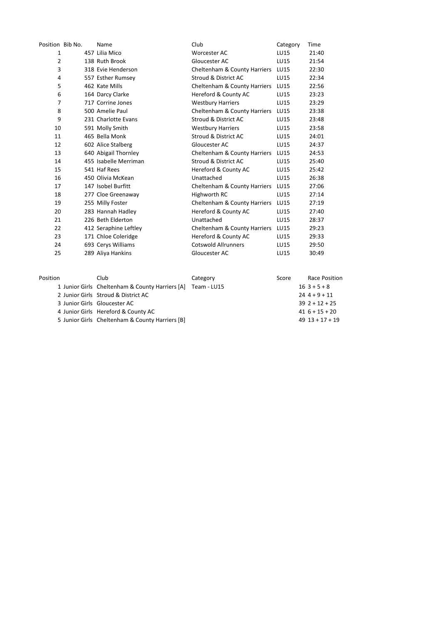| Position Bib No. | Name                  | Club                                    | Category    | Time  |
|------------------|-----------------------|-----------------------------------------|-------------|-------|
| $\mathbf{1}$     | 457 Lilia Mico        | Worcester AC                            | LU15        | 21:40 |
| 2                | 138 Ruth Brook        | Gloucester AC                           | <b>LU15</b> | 21:54 |
| 3                | 318 Evie Henderson    | Cheltenham & County Harriers            | <b>LU15</b> | 22:30 |
| 4                | 557 Esther Rumsey     | Stroud & District AC                    | <b>LU15</b> | 22:34 |
| 5                | 462 Kate Mills        | Cheltenham & County Harriers            | <b>LU15</b> | 22:56 |
| 6                | 164 Darcy Clarke      | Hereford & County AC                    | <b>LU15</b> | 23:23 |
| 7                | 717 Corrine Jones     | <b>Westbury Harriers</b>                | LU15        | 23:29 |
| 8                | 500 Amelie Paul       | Cheltenham & County Harriers            | <b>LU15</b> | 23:38 |
| 9                | 231 Charlotte Evans   | Stroud & District AC                    | LU15        | 23:48 |
| 10               | 591 Molly Smith       | <b>Westbury Harriers</b>                | <b>LU15</b> | 23:58 |
| 11               | 465 Bella Monk        | Stroud & District AC                    | <b>LU15</b> | 24:01 |
| 12               | 602 Alice Stalberg    | Gloucester AC                           | LU15        | 24:37 |
| 13               | 640 Abigail Thornley  | <b>Cheltenham &amp; County Harriers</b> | <b>LU15</b> | 24:53 |
| 14               | 455 Isabelle Merriman | Stroud & District AC                    | LU15        | 25:40 |
| 15               | 541 Haf Rees          | Hereford & County AC                    | <b>LU15</b> | 25:42 |
| 16               | 450 Olivia McKean     | Unattached                              | <b>LU15</b> | 26:38 |
| 17               | 147 Isobel Burfitt    | Cheltenham & County Harriers            | LU15        | 27:06 |
| 18               | 277 Cloe Greenaway    | Highworth RC                            | <b>LU15</b> | 27:14 |
| 19               | 255 Milly Foster      | Cheltenham & County Harriers            | <b>LU15</b> | 27:19 |
| 20               | 283 Hannah Hadley     | Hereford & County AC                    | <b>LU15</b> | 27:40 |
| 21               | 226 Beth Elderton     | Unattached                              | LU15        | 28:37 |
| 22               | 412 Seraphine Leftley | Cheltenham & County Harriers            | <b>LU15</b> | 29:23 |
| 23               | 171 Chloe Coleridge   | Hereford & County AC                    | LU15        | 29:33 |
| 24               | 693 Cerys Williams    | <b>Cotswold Allrunners</b>              | LU15        | 29:50 |
| 25               | 289 Aliya Hankins     | Gloucester AC                           | <b>LU15</b> | 30:49 |
|                  |                       |                                         |             |       |

| Position | Club                                                        | Category | Score | Race Position       |
|----------|-------------------------------------------------------------|----------|-------|---------------------|
|          | 1 Junior Girls Cheltenham & County Harriers [A] Team - LU15 |          |       | $163+5+8$           |
|          | 2 Junior Girls Stroud & District AC                         |          |       | $244+9+11$          |
|          | 3 Junior Girls Gloucester AC                                |          |       | $39$ 2 + 12 + 25    |
|          | 4 Junior Girls Hereford & County AC                         |          |       | $416 + 15 + 20$     |
|          | 5 Junior Girls Cheltenham & County Harriers [B]             |          |       | $49$ $13 + 17 + 19$ |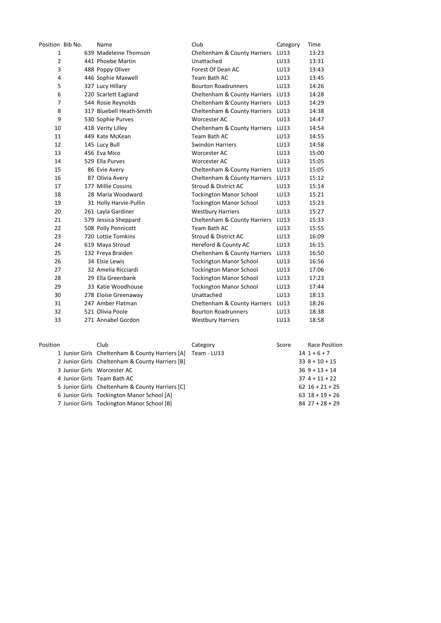| Position Bib No. | Name                     | Club                           | Category | Time    |
|------------------|--------------------------|--------------------------------|----------|---------|
| 1                | 639 Madeleine Thomson    | Cheltenham & County Harriers   | LU13     | 13:23   |
| $\overline{2}$   | 441 Phoebe Martin        | Unattached                     | LU13     | 13:31   |
| 3                | 488 Poppy Oliver         | Forest Of Dean AC              | LU13     | 13:43   |
| $\overline{4}$   | 446 Sophie Maxwell       | Team Bath AC                   | LU13     | 13:45   |
| 5                | 327 Lucy Hillary         | <b>Bourton Roadrunners</b>     | LU13     | 14:26   |
| 6                | 220 Scarlett Eagland     | Cheltenham & County Harriers   | LU13     | 14:28   |
| $\overline{7}$   | 544 Rosie Reynolds       | Cheltenham & County Harriers   | LU13     | 14:29   |
| 8                | 317 Bluebell Heath-Smith | Cheltenham & County Harriers   | LU13     | 14:38   |
| 9                | 530 Sophie Purves        | Worcester AC                   | LU13     | 14:47   |
| 10               | 418 Verity Lilley        | Cheltenham & County Harriers   | LU13     | 14:54   |
| 11               | 449 Kate McKean          | Team Bath AC                   | LU13     | 14:55   |
| 12               | 145 Lucy Bull            | <b>Swindon Harriers</b>        | LU13     | 14:58   |
| 13               | 456 Eva Mico             | Worcester AC                   | LU13     | 15:00   |
| 14               | 529 Ella Purves          | <b>Worcester AC</b>            | LU13     | 15:05   |
| 15               | 86 Evie Avery            | Cheltenham & County Harriers   | LU13     | 15:05   |
| 16               | 87 Olivia Avery          | Cheltenham & County Harriers   | LU13     | 15:12   |
| 17               | 177 Millie Cossins       | Stroud & District AC           | LU13     | 15:14   |
| 18               | 28 Maria Woodward        | <b>Tockington Manor School</b> | LU13     | 15:21   |
| 19               | 31 Holly Harvie-Pullin   | <b>Tockington Manor School</b> | LU13     | 15:23   |
| 20               | 261 Layla Gardiner       | <b>Westbury Harriers</b>       | LU13     | 15:27   |
| 21               | 579 Jessica Sheppard     | Cheltenham & County Harriers   | LU13     | 15:33   |
| 22               | 508 Polly Pennicott      | Team Bath AC                   | LU13     | 15:55   |
| 23               | 720 Lottie Tomkins       | Stroud & District AC           | LU13     | 16:09   |
| 24               | 619 Maya Stroud          | Hereford & County AC           | LU13     | 16:15   |
| 25               | 132 Freya Braiden        | Cheltenham & County Harriers   | LU13     | 16:50   |
| 26               | 34 Elsie Lewis           | <b>Tockington Manor School</b> | LU13     | 16:56   |
| 27               | 32 Amelia Ricciardi      | <b>Tockington Manor School</b> | LU13     | 17:06   |
| 28               | 29 Ella Greenbank        | <b>Tockington Manor School</b> | LU13     | 17:23   |
| 29               | 33 Katie Woodhouse       | <b>Tockington Manor School</b> | LU13     | 17:44   |
| 30               | 278 Eloise Greenaway     | Unattached                     | LU13     | 18:13   |
| 31               | 247 Amber Flatman        | Cheltenham & County Harriers   | LU13     | 18:26   |
| 32               | 521 Olivia Poole         | <b>Bourton Roadrunners</b>     | LU13     | 18:38   |
| 33               | 271 Annabel Gordon       | <b>Westbury Harriers</b>       | LU13     | 18:58   |
| <b>Docition</b>  | Club                     | Category                       | Score    | Race Pr |

| Position | Club                                                        | Category | Score | Race Position       |
|----------|-------------------------------------------------------------|----------|-------|---------------------|
|          | 1 Junior Girls Cheltenham & County Harriers [A] Team - LU13 |          |       | $14$ 1 + 6 + 7      |
|          | 2 Junior Girls Cheltenham & County Harriers [B]             |          |       | $338 + 10 + 15$     |
|          | 3 Junior Girls Worcester AC                                 |          |       | $369 + 13 + 14$     |
|          | 4 Junior Girls Team Bath AC                                 |          |       | $374 + 11 + 22$     |
|          | 5 Junior Girls Cheltenham & County Harriers [C]             |          |       | $62$ $16 + 21 + 25$ |
|          | 6 Junior Girls Tockington Manor School [A]                  |          |       | $63$ $18 + 19 + 26$ |
|          | 7 Junior Girls Tockington Manor School [B]                  |          |       | $84$ 27 + 28 + 29   |
|          |                                                             |          |       |                     |